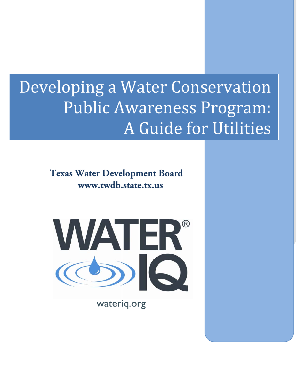# Developing a Water Conservation Public Awareness Program: A Guide for Utilities

**Texas Water Development Board www.twdb.state.tx.us** 



wateriq.org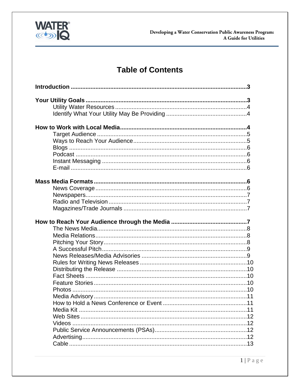

# **Table of Contents**

| Media Kit |  |
|-----------|--|
|           |  |
|           |  |
|           |  |
|           |  |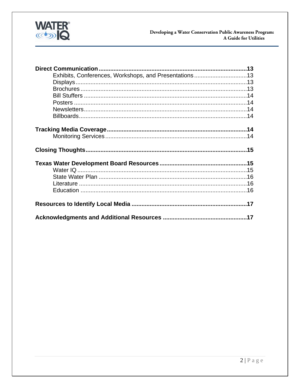

| Exhibits, Conferences, Workshops, and Presentations13 |  |
|-------------------------------------------------------|--|
|                                                       |  |
|                                                       |  |
|                                                       |  |
|                                                       |  |
|                                                       |  |
|                                                       |  |
|                                                       |  |
|                                                       |  |
|                                                       |  |
|                                                       |  |
|                                                       |  |
|                                                       |  |
|                                                       |  |
|                                                       |  |
|                                                       |  |
|                                                       |  |
|                                                       |  |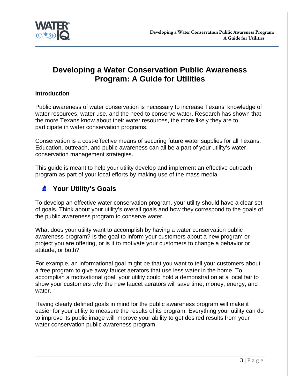<span id="page-3-0"></span>

# **Developing a Water Conservation Public Awareness Program: A Guide for Utilities**

#### **Introduction**

Public awareness of water conservation is necessary to increase Texans' knowledge of water resources, water use, and the need to conserve water. Research has shown that the more Texans know about their water resources, the more likely they are to participate in water conservation programs.

Conservation is a cost-effective means of securing future water supplies for all Texans. Education, outreach, and public awareness can all be a part of your utility's water conservation management strategies.

This guide is meant to help your utility develop and implement an effective outreach program as part of your local efforts by making use of the mass media.

## **Your Utility's Goals**

To develop an effective water conservation program, your utility should have a clear set of goals. Think about your utility's overall goals and how they correspond to the goals of the public awareness program to conserve water.

What does your utility want to accomplish by having a water conservation public awareness program? Is the goal to inform your customers about a new program or project you are offering, or is it to motivate your customers to change a behavior or attitude, or both?

For example, an informational goal might be that you want to tell your customers about a free program to give away faucet aerators that use less water in the home. To accomplish a motivational goal, your utility could hold a demonstration at a local fair to show your customers why the new faucet aerators will save time, money, energy, and water.

Having clearly defined goals in mind for the public awareness program will make it easier for your utility to measure the results of its program. Everything your utility can do to improve its public image will improve your ability to get desired results from your water conservation public awareness program.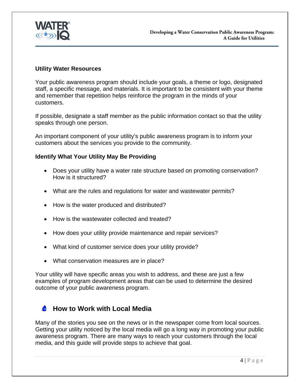<span id="page-4-0"></span>

#### **Utility Water Resources**

Your public awareness program should include your goals, a theme or logo, designated staff, a specific message, and materials. It is important to be consistent with your theme and remember that repetition helps reinforce the program in the minds of your customers.

If possible, designate a staff member as the public information contact so that the utility speaks through one person.

An important component of your utility's public awareness program is to inform your customers about the services you provide to the community.

#### **Identify What Your Utility May Be Providing**

- Does your utility have a water rate structure based on promoting conservation? How is it structured?
- What are the rules and regulations for water and wastewater permits?
- How is the water produced and distributed?
- How is the wastewater collected and treated?
- How does your utility provide maintenance and repair services?
- What kind of customer service does your utility provide?
- What conservation measures are in place?

Your utility will have specific areas you wish to address, and these are just a few examples of program development areas that can be used to determine the desired outcome of your public awareness program.

#### **How to Work with Local Media**   $\sqrt{2}$

Many of the stories you see on the news or in the newspaper come from local sources. Getting your utility noticed by the local media will go a long way in promoting your public awareness program. There are many ways to reach your customers through the local media, and this guide will provide steps to achieve that goal.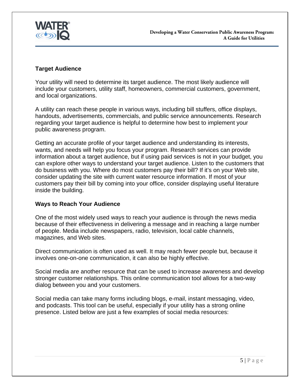

## **Target Audience**

Your utility will need to determine its target audience. The most likely audience will include your customers, utility staff, homeowners, commercial customers, government, and local organizations.

A utility can reach these people in various ways, including bill stuffers, office displays, handouts, advertisements, commercials, and public service announcements. Research regarding your target audience is helpful to determine how best to implement your public awareness program.

Getting an accurate profile of your target audience and understanding its interests, wants, and needs will help you focus your program. Research services can provide information about a target audience, but if using paid services is not in your budget, you can explore other ways to understand your target audience. Listen to the customers that do business with you. Where do most customers pay their bill? If it's on your Web site, consider updating the site with current water resource information. If most of your customers pay their bill by coming into your office, consider displaying useful literature inside the building.

## **Ways to Reach Your Audience**

One of the most widely used ways to reach your audience is through the news media because of their effectiveness in delivering a message and in reaching a large number of people. Media include newspapers, radio, television, local cable channels, magazines, and Web sites.

Direct communication is often used as well. It may reach fewer people but, because it involves one-on-one communication, it can also be highly effective.

Social media are another resource that can be used to increase awareness and develop stronger customer relationships. This online communication tool allows for a two-way dialog between you and your customers.

Social media can take many forms including blogs, e-mail, instant messaging, video, and podcasts. This tool can be useful, especially if your utility has a strong online presence. Listed below are just a few examples of social media resources: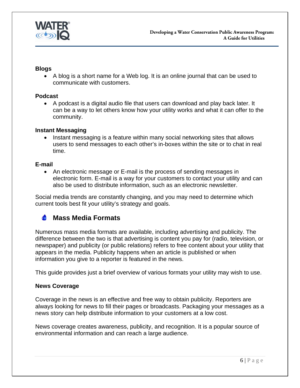<span id="page-6-0"></span>

#### **Blogs**

 A blog is a short name for a Web log. It is an online journal that can be used to communicate with customers.

#### **Podcast**

 A podcast is a digital audio file that users can download and play back later. It can be a way to let others know how your utility works and what it can offer to the community.

#### **Instant Messaging**

• Instant messaging is a feature within many social networking sites that allows users to send messages to each other's in-boxes within the site or to chat in real time.

#### **E-mail**

 An electronic message or E-mail is the process of sending messages in electronic form. E-mail is a way for your customers to contact your utility and can also be used to distribute information, such as an electronic newsletter.

Social media trends are constantly changing, and you may need to determine which current tools best fit your utility's strategy and goals.

#### $\triangle$ **Mass Media Formats**

Numerous mass media formats are available, including advertising and publicity. The difference between the two is that advertising is content you pay for (radio, television, or newspaper) and publicity (or public relations) refers to free content about your utility that appears in the media. Publicity happens when an article is published or when information you give to a reporter is featured in the news.

This guide provides just a brief overview of various formats your utility may wish to use.

#### **News Coverage**

Coverage in the news is an effective and free way to obtain publicity. Reporters are always looking for news to fill their pages or broadcasts. Packaging your messages as a news story can help distribute information to your customers at a low cost.

News coverage creates awareness, publicity, and recognition. It is a popular source of environmental information and can reach a large audience.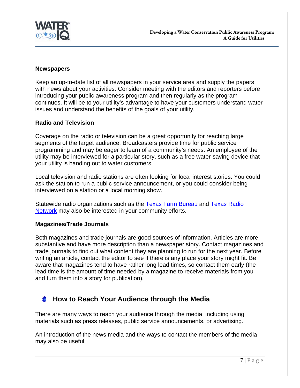<span id="page-7-0"></span>

#### **Newspapers**

Keep an up-to-date list of all newspapers in your service area and supply the papers with news about your activities. Consider meeting with the editors and reporters before introducing your public awareness program and then regularly as the program continues. It will be to your utility's advantage to have your customers understand water issues and understand the benefits of the goals of your utility.

#### **Radio and Television**

Coverage on the radio or television can be a great opportunity for reaching large segments of the target audience. Broadcasters provide time for public service programming and may be eager to learn of a community's needs. An employee of the utility may be interviewed for a particular story, such as a free water-saving device that your utility is handing out to water customers.

Local television and radio stations are often looking for local interest stories. You could ask the station to run a public service announcement, or you could consider being interviewed on a station or a local morning show.

Statewide radio organizations such as the [Texas Farm Bureau a](http://www.txfb.org/)nd [Texas Radio](http://www.tsnradio.com/)  [Network](http://www.tsnradio.com/) may also be interested in your community efforts.

#### **Magazines/Trade Journals**

Both magazines and trade journals are good sources of information. Articles are more substantive and have more description than a newspaper story. Contact magazines and trade journals to find out what content they are planning to run for the next year. Before writing an article, contact the editor to see if there is any place your story might fit. Be aware that magazines tend to have rather long lead times, so contact them early (the lead time is the amount of time needed by a magazine to receive materials from you and turn them into a story for publication).

#### **How to Reach Your Audience through the Media**   $\bullet$

There are many ways to reach your audience through the media, including using materials such as press releases, public service announcements, or advertising.

An introduction of the news media and the ways to contact the members of the media may also be useful.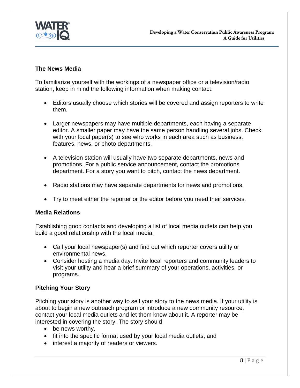

#### **The News Media**

To familiarize yourself with the workings of a newspaper office or a television/radio station, keep in mind the following information when making contact:

- Editors usually choose which stories will be covered and assign reporters to write them.
- Larger newspapers may have multiple departments, each having a separate editor. A smaller paper may have the same person handling several jobs. Check with your local paper(s) to see who works in each area such as business, features, news, or photo departments.
- A television station will usually have two separate departments, news and promotions. For a public service announcement, contact the promotions department. For a story you want to pitch, contact the news department.
- Radio stations may have separate departments for news and promotions.
- Try to meet either the reporter or the editor before you need their services.

#### **Media Relations**

Establishing good contacts and developing a list of local media outlets can help you build a good relationship with the local media.

- Call your local newspaper(s) and find out which reporter covers utility or environmental news.
- Consider hosting a media day. Invite local reporters and community leaders to visit your utility and hear a brief summary of your operations, activities, or programs.

## **Pitching Your Story**

Pitching your story is another way to sell your story to the news media. If your utility is about to begin a new outreach program or introduce a new community resource, contact your local media outlets and let them know about it. A reporter may be interested in covering the story. The story should

- be news worthy,
- fit into the specific format used by your local media outlets, and
- interest a majority of readers or viewers.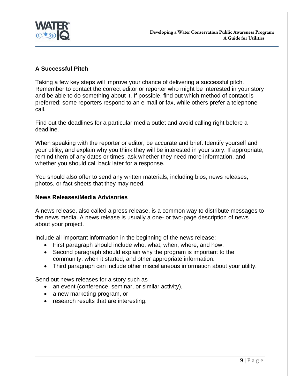

## **A Successful Pitch**

Taking a few key steps will improve your chance of delivering a successful pitch. Remember to contact the correct editor or reporter who might be interested in your story and be able to do something about it. If possible, find out which method of contact is preferred; some reporters respond to an e-mail or fax, while others prefer a telephone call.

Find out the deadlines for a particular media outlet and avoid calling right before a deadline.

When speaking with the reporter or editor, be accurate and brief. Identify yourself and your utility, and explain why you think they will be interested in your story. If appropriate, remind them of any dates or times, ask whether they need more information, and whether you should call back later for a response.

You should also offer to send any written materials, including bios, news releases, photos, or fact sheets that they may need.

#### **News Releases/Media Advisories**

A news release, also called a press release, is a common way to distribute messages to the news media. A news release is usually a one- or two-page description of news about your project.

Include all important information in the beginning of the news release:

- First paragraph should include who, what, when, where, and how.
- Second paragraph should explain why the program is important to the community, when it started, and other appropriate information.
- Third paragraph can include other miscellaneous information about your utility.

Send out news releases for a story such as

- an event (conference, seminar, or similar activity),
- a new marketing program, or
- research results that are interesting.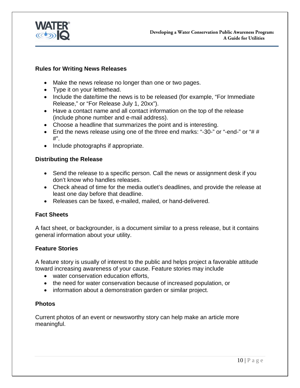

#### **Rules for Writing News Releases**

- Make the news release no longer than one or two pages.
- Type it on your letterhead.
- Include the date/time the news is to be released (for example, "For Immediate Release," or "For Release July 1, 20xx").
- Have a contact name and all contact information on the top of the release (include phone number and e-mail address).
- Choose a headline that summarizes the point and is interesting.
- End the news release using one of the three end marks: "-30-" or "-end-" or "#  $\#$ #".
- Include photographs if appropriate.

#### **Distributing the Release**

- Send the release to a specific person. Call the news or assignment desk if you don't know who handles releases.
- Check ahead of time for the media outlet's deadlines, and provide the release at least one day before that deadline.
- Releases can be faxed, e-mailed, mailed, or hand-delivered.

#### **Fact Sheets**

A fact sheet, or backgrounder, is a document similar to a press release, but it contains general information about your utility.

#### **Feature Stories**

A feature story is usually of interest to the public and helps project a favorable attitude toward increasing awareness of your cause. Feature stories may include

- water conservation education efforts.
- the need for water conservation because of increased population, or
- information about a demonstration garden or similar project.

#### **Photos**

Current photos of an event or newsworthy story can help make an article more meaningful.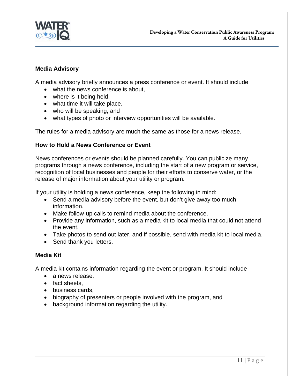

#### **Media Advisory**

A media advisory briefly announces a press conference or event. It should include

- what the news conference is about.
- where is it being held,
- what time it will take place,
- who will be speaking, and
- what types of photo or interview opportunities will be available.

The rules for a media advisory are much the same as those for a news release.

#### **How to Hold a News Conference or Event**

News conferences or events should be planned carefully. You can publicize many programs through a news conference, including the start of a new program or service, recognition of local businesses and people for their efforts to conserve water, or the release of major information about your utility or program.

If your utility is holding a news conference, keep the following in mind:

- Send a media advisory before the event, but don't give away too much information.
- Make follow-up calls to remind media about the conference.
- Provide any information, such as a media kit to local media that could not attend the event.
- Take photos to send out later, and if possible, send with media kit to local media.
- Send thank you letters.

#### **Media Kit**

A media kit contains information regarding the event or program. It should include

- a news release.
- fact sheets.
- business cards,
- biography of presenters or people involved with the program, and
- background information regarding the utility.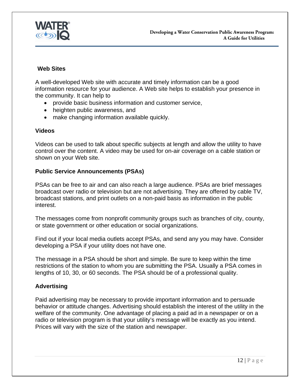

#### **Web Sites**

A well-developed Web site with accurate and timely information can be a good information resource for your audience. A Web site helps to establish your presence in the community. It can help to

- provide basic business information and customer service,
- heighten public awareness, and
- make changing information available quickly.

#### **Videos**

Videos can be used to talk about specific subjects at length and allow the utility to have control over the content. A video may be used for on-air coverage on a cable station or shown on your Web site.

#### **Public Service Announcements (PSAs)**

PSAs can be free to air and can also reach a large audience. PSAs are brief messages broadcast over radio or television but are not advertising. They are offered by cable TV, broadcast stations, and print outlets on a non-paid basis as information in the public interest.

The messages come from nonprofit community groups such as branches of city, county, or state government or other education or social organizations.

Find out if your local media outlets accept PSAs, and send any you may have. Consider developing a PSA if your utility does not have one.

The message in a PSA should be short and simple. Be sure to keep within the time restrictions of the station to whom you are submitting the PSA. Usually a PSA comes in lengths of 10, 30, or 60 seconds. The PSA should be of a professional quality.

## **Advertising**

Paid advertising may be necessary to provide important information and to persuade behavior or attitude changes. Advertising should establish the interest of the utility in the welfare of the community. One advantage of placing a paid ad in a newspaper or on a radio or television program is that your utility's message will be exactly as you intend. Prices will vary with the size of the station and newspaper.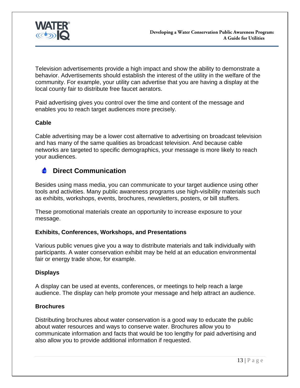<span id="page-13-0"></span>

Television advertisements provide a high impact and show the ability to demonstrate a behavior. Advertisements should establish the interest of the utility in the welfare of the community. For example, your utility can advertise that you are having a display at the local county fair to distribute free faucet aerators.

Paid advertising gives you control over the time and content of the message and enables you to reach target audiences more precisely.

## **Cable**

Cable advertising may be a lower cost alternative to advertising on broadcast television and has many of the same qualities as broadcast television. And because cable networks are targeted to specific demographics, your message is more likely to reach your audiences.

## *C* Direct Communication

Besides using mass media, you can communicate to your target audience using other tools and activities. Many public awareness programs use high-visibility materials such as exhibits, workshops, events, brochures, newsletters, posters, or bill stuffers.

These promotional materials create an opportunity to increase exposure to your message.

#### **Exhibits, Conferences, Workshops, and Presentations**

Various public venues give you a way to distribute materials and talk individually with participants. A water conservation exhibit may be held at an education environmental fair or energy trade show, for example.

## **Displays**

A display can be used at events, conferences, or meetings to help reach a large audience. The display can help promote your message and help attract an audience.

#### **Brochures**

Distributing brochures about water conservation is a good way to educate the public about water resources and ways to conserve water. Brochures allow you to communicate information and facts that would be too lengthy for paid advertising and also allow you to provide additional information if requested.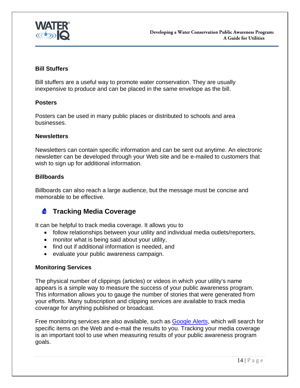<span id="page-14-0"></span>

#### **Bill Stuffers**

Bill stuffers are a useful way to promote water conservation. They are usually inexpensive to produce and can be placed in the same envelope as the bill.

#### **Posters**

Posters can be used in many public places or distributed to schools and area businesses.

#### **Newsletters**

Newsletters can contain specific information and can be sent out anytime. An electronic newsletter can be developed through your Web site and be e-mailed to customers that wish to sign up for additional information.

#### **Billboards**

Billboards can also reach a large audience, but the message must be concise and memorable to be effective.

#### **Tracking Media Coverage**   $\bullet$

It can be helpful to track media coverage. It allows you to

- follow relationships between your utility and individual media outlets/reporters,
- monitor what is being said about your utility,
- find out if additional information is needed, and
- evaluate your public awareness campaign.

#### **Monitoring Services**

The physical number of clippings (articles) or videos in which your utility's name appears is a simple way to measure the success of your public awareness program. This information allows you to gauge the number of stories that were generated from your efforts. Many subscription and clipping services are available to track media coverage for anything published or broadcast.

Free monitoring services are also available, such as [Google Alerts](http://www.google.com/alerts), which will search for specific items on the Web and e-mail the results to you. Tracking your media coverage is an important tool to use when measuring results of your public awareness program goals.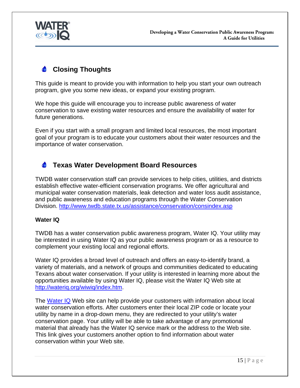<span id="page-15-0"></span>

# **Closing Thoughts**

This guide is meant to provide you with information to help you start your own outreach program, give you some new ideas, or expand your existing program.

We hope this guide will encourage you to increase public awareness of water conservation to save existing water resources and ensure the availability of water for future generations.

Even if you start with a small program and limited local resources, the most important goal of your program is to educate your customers about their water resources and the importance of water conservation.

#### $\bullet$ **Texas Water Development Board Resources**

TWDB water conservation staff can provide services to help cities, utilities, and districts establish effective water-efficient conservation programs. We offer agricultural and municipal water conservation materials, leak detection and water loss audit assistance, and public awareness and education programs through the Water Conservation Division. http://www.twdb.state.tx.us/assistance/conservation/consindex.asp

## **Water IQ**

TWDB has a water conservation public awareness program, Water IQ. Your utility may be interested in using Water IQ as your public awareness program or as a resource to complement your existing local and regional efforts.

Water IQ provides a broad level of outreach and offers an easy-to-identify brand, a variety of materials, and a network of groups and communities dedicated to educating Texans about water conservation. If your utility is interested in learning more about the opportunities available by using Water IQ, please visit the Water IQ Web site at http://wateriq.org/wiwiq/index.htm.

The [Water IQ](http://wateriq.org/apps/wateriq/default.aspx) Web site can help provide your customers with information about local water conservation efforts. After customers enter their local ZIP code or locate your utility by name in a drop-down menu, they are redirected to your utility's water conservation page. Your utility will be able to take advantage of any promotional material that already has the Water IQ service mark or the address to the Web site. This link gives your customers another option to find information about water conservation within your Web site.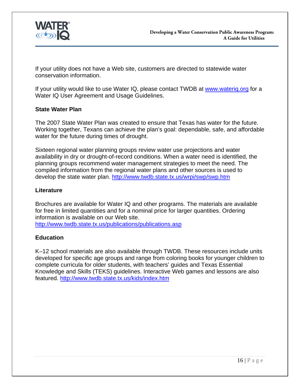

If your utility does not have a Web site, customers are directed to statewide water conservation information.

If your utility would like to use Water IQ, please contact TWDB at www.waterig.org for a Water IQ User Agreement and Usage Guidelines.

#### **State Water Plan**

The 2007 State Water Plan was created to ensure that Texas has water for the future. Working together, Texans can achieve the plan's goal: dependable, safe, and affordable water for the future during times of drought.

Sixteen regional water planning groups review water use projections and water availability in dry or drought-of-record conditions. When a water need is identified, the planning groups recommend water management strategies to meet the need. The compiled information from the regional water plans and other sources is used to develop the state water plan. http://www.twdb.state.tx.us/wrpi/swp/swp.htm

#### **Literature**

Brochures are available for Water IQ and other programs. The materials are available for free in limited quantities and for a nominal price for larger quantities. Ordering information is available on our Web site.

http://www.twdb.state.tx.us/publications/publications.asp

## **Education**

K–12 school materials are also available through TWDB. These resources include units developed for specific age groups and range from coloring books for younger children to complete curricula for older students, with teachers' guides and Texas Essential Knowledge and Skills (TEKS) guidelines. Interactive Web games and lessons are also featured. http://www.twdb.state.tx.us/kids/index.htm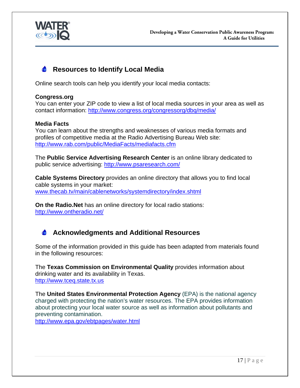<span id="page-17-0"></span>

# **C** Resources to Identify Local Media

Online search tools can help you identify your local media contacts:

#### **Congress.org**

You can enter your ZIP code to view a list of local media sources in your area as well as contact information: http://www.congress.org/congressorg/dbq/media/

#### **Media Facts**

You can learn about the strengths and weaknesses of various media formats and profiles of competitive media at the Radio Advertising Bureau Web site: http://www.rab.com/public/MediaFacts/mediafacts.cfm

The **Public Service Advertising Research Center** is an online library dedicated to public service advertising: http://www.psaresearch.com/

**Cable Systems Directory** provides an online directory that allows you to find local cable systems in your market: www.thecab.tv/main/cablenetworks/systemdirectory/index.shtml

**On the Radio.Net** has an online directory for local radio stations: http://www.ontheradio.net/

# **Acknowledgments and Additional Resources**

Some of the information provided in this guide has been adapted from materials found in the following resources:

The **Texas Commission on Environmental Quality** provides information about drinking water and its availability in Texas. http://www.tceq.state.tx.us

The **United States Environmental Protection Agency** (EPA) is the national agency charged with protecting the nation's water resources. The EPA provides information about protecting your local water source as well as information about pollutants and preventing contamination.

http://www.epa.gov/ebtpages/water.html